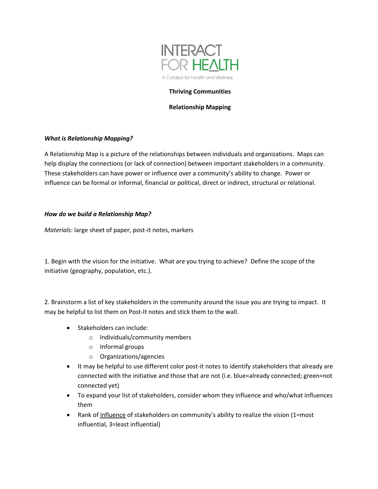

## **Thriving Communities**

## **Relationship Mapping**

## *What is Relationship Mapping?*

A Relationship Map is a picture of the relationships between individuals and organizations. Maps can help display the connections (or lack of connection) between important stakeholders in a community. These stakeholders can have power or influence over a community's ability to change. Power or influence can be formal or informal, financial or political, direct or indirect, structural or relational.

# *How do we build a Relationship Map?*

*Materials*: large sheet of paper, post-it notes, markers

1. Begin with the vision for the initiative. What are you trying to achieve? Define the scope of the initiative (geography, population, etc.).

2. Brainstorm a list of key stakeholders in the community around the issue you are trying to impact. It may be helpful to list them on Post-It notes and stick them to the wall.

- Stakeholders can include:
	- o Individuals/community members
	- o Informal groups
	- o Organizations/agencies
- It may be helpful to use different color post-it notes to identify stakeholders that already are connected with the initiative and those that are not (i.e. blue=already connected; green=not connected yet)
- To expand your list of stakeholders, consider whom they influence and who/what influences them
- Rank of influence of stakeholders on community's ability to realize the vision (1=most influential, 3=least influential)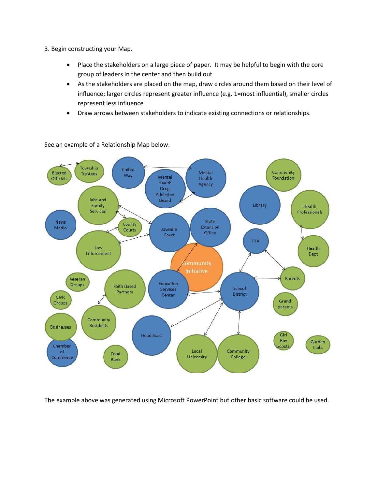- 3. Begin constructing your Map.
	- Place the stakeholders on a large piece of paper. It may be helpful to begin with the core group of leaders in the center and then build out
	- As the stakeholders are placed on the map, draw circles around them based on their level of influence; larger circles represent greater influence (e.g. 1=most influential), smaller circles represent less influence
	- Draw arrows between stakeholders to indicate existing connections or relationships.



See an example of a Relationship Map below:

The example above was generated using Microsoft PowerPoint but other basic software could be used.